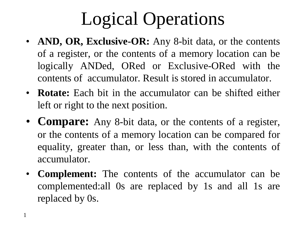## Logical Operations

- **AND, OR, Exclusive-OR:** Any 8-bit data, or the contents of a register, or the contents of a memory location can be logically ANDed, ORed or Exclusive-ORed with the contents of accumulator. Result is stored in accumulator.
- **Rotate:** Each bit in the accumulator can be shifted either left or right to the next position.
- **Compare:** Any 8-bit data, or the contents of a register, or the contents of a memory location can be compared for equality, greater than, or less than, with the contents of accumulator.
- **Complement:** The contents of the accumulator can be complemented:all 0s are replaced by 1s and all 1s are replaced by 0s.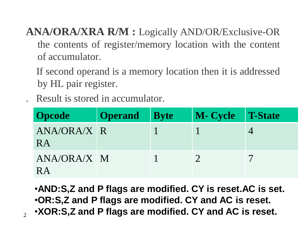**ANA/ORA/XRA R/M :** Logically AND/OR/Exclusive-OR the contents of register/memory location with the content of accumulator.

If second operand is a memory location then it is addressed by HL pair register.

. Result is stored in accumulator.

| <b>Opcode</b>            | <b>Operand</b> | <b>Byte</b> | M- Cycle T-State |  |
|--------------------------|----------------|-------------|------------------|--|
| ANA/ORA/X R<br><b>RA</b> |                |             |                  |  |
| ANA/ORA/X M<br>RA        |                |             |                  |  |

•**AND:S,Z and P flags are modified. CY is reset.AC is set.** •**OR:S,Z and P flags are modified. CY and AC is reset.** •**XOR:S,Z and P flags are modified. CY and AC is reset.**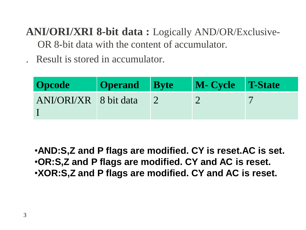**ANI/ORI/XRI 8-bit data :** Logically AND/OR/Exclusive-OR 8-bit data with the content of accumulator.

. Result is stored in accumulator.

| <b>Opcode</b>         | <b>Operand</b> Byte | M- Cycle T-State |  |
|-----------------------|---------------------|------------------|--|
| ANI/ORI/XR 8 bit data |                     |                  |  |

•**AND:S,Z and P flags are modified. CY is reset.AC is set.** •**OR:S,Z and P flags are modified. CY and AC is reset.** •**XOR:S,Z and P flags are modified. CY and AC is reset.**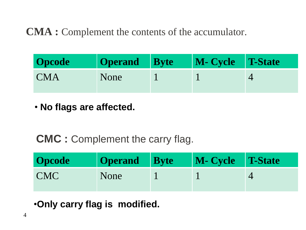## **CMA :** Complement the contents of the accumulator.

| <b>Opcode</b> | Operand Byte | M- Cycle T-State |  |
|---------------|--------------|------------------|--|
| <b>CMA</b>    | None         |                  |  |

• **No flags are affected.**

## **CMC :** Complement the carry flag.

| <b>Opcode</b> | <b>Operand</b> Byte | M- Cycle T-State |  |
|---------------|---------------------|------------------|--|
| <b>CMC</b>    | None                |                  |  |

•**Only carry flag is modified.**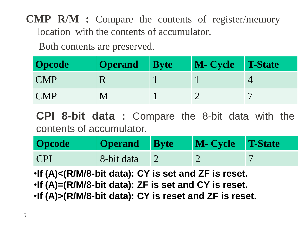**CMP R/M :** Compare the contents of register/memory location with the contents of accumulator.

Both contents are preserved.

| <b>Opcode</b> | <b>Operand</b> | <b>Byte</b> | M- Cycle T-State |  |
|---------------|----------------|-------------|------------------|--|
| <b>CMP</b>    |                |             |                  |  |
| <b>CMP</b>    |                |             |                  |  |

**CPI 8-bit data :** Compare the 8-bit data with the contents of accumulator.

| <b>Opcode</b> | Operand Byte | M- Cycle T-State |  |
|---------------|--------------|------------------|--|
| <b>CPI</b>    | 8-bit data   |                  |  |

•**If (A)<(R/M/8-bit data): CY is set and ZF is reset.** •**If (A)=(R/M/8-bit data): ZF is set and CY is reset.** •**If (A)>(R/M/8-bit data): CY is reset and ZF is reset.**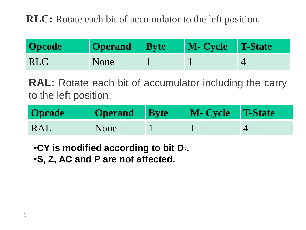**RLC:** Rotate each bit of accumulator to the left position.

| <b>Opcode</b> | <b>Operand</b> Byte | M- Cycle T-State |  |
|---------------|---------------------|------------------|--|
| <b>RLC</b>    | None                |                  |  |

**RAL:** Rotate each bit of accumulator including the carry to the left position.

| <b>Opcode</b> | Operand Byte | M- Cycle T-State |  |
|---------------|--------------|------------------|--|
| <b>RAL</b>    | None         |                  |  |

•**CY is modified according to bit D7.**

•**S, Z, AC and P are not affected.**